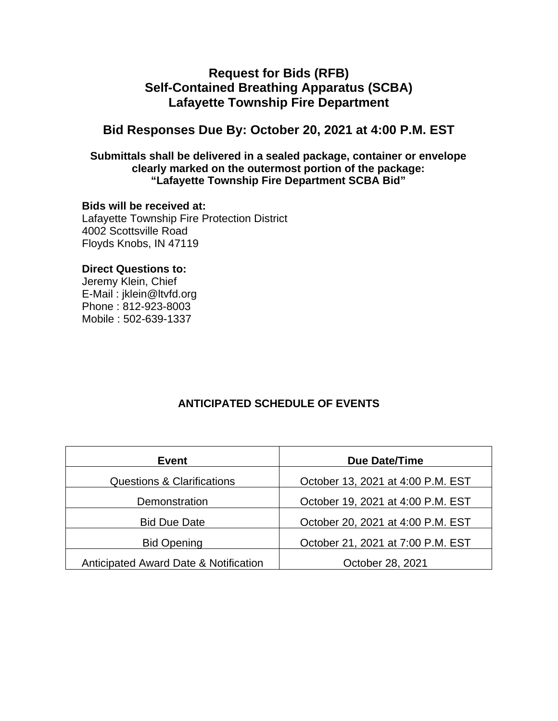# **Request for Bids (RFB) Self-Contained Breathing Apparatus (SCBA) Lafayette Township Fire Department**

# **Bid Responses Due By: October 20, 2021 at 4:00 P.M. EST**

## **Submittals shall be delivered in a sealed package, container or envelope clearly marked on the outermost portion of the package: "Lafayette Township Fire Department SCBA Bid"**

## **Bids will be received at:**

Lafayette Township Fire Protection District 4002 Scottsville Road Floyds Knobs, IN 47119

## **Direct Questions to:**

Jeremy Klein, Chief E-Mail : jklein@ltvfd.org Phone : 812-923-8003 Mobile : 502-639-1337

# **ANTICIPATED SCHEDULE OF EVENTS**

| Event                                 | Due Date/Time                     |
|---------------------------------------|-----------------------------------|
| <b>Questions &amp; Clarifications</b> | October 13, 2021 at 4:00 P.M. EST |
| Demonstration                         | October 19, 2021 at 4:00 P.M. EST |
| <b>Bid Due Date</b>                   | October 20, 2021 at 4:00 P.M. EST |
| <b>Bid Opening</b>                    | October 21, 2021 at 7:00 P.M. EST |
| Anticipated Award Date & Notification | October 28, 2021                  |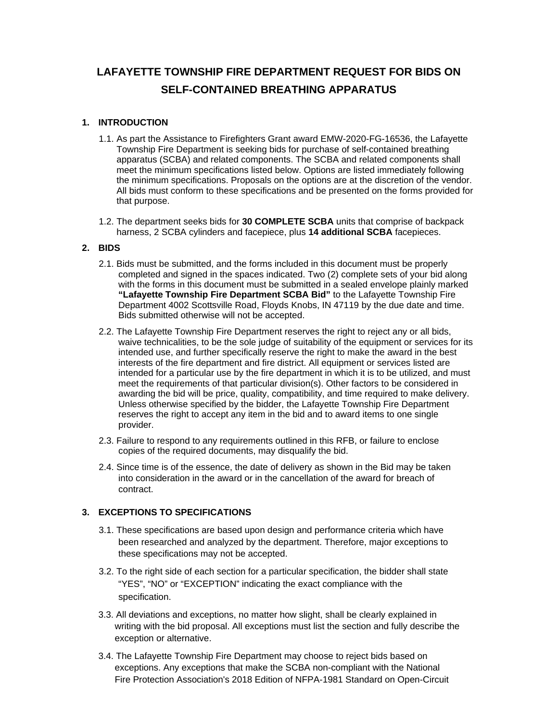# **LAFAYETTE TOWNSHIP FIRE DEPARTMENT REQUEST FOR BIDS ON SELF-CONTAINED BREATHING APPARATUS**

#### **1. INTRODUCTION**

- 1.1. As part the Assistance to Firefighters Grant award EMW-2020-FG-16536, the Lafayette Township Fire Department is seeking bids for purchase of self-contained breathing apparatus (SCBA) and related components. The SCBA and related components shall meet the minimum specifications listed below. Options are listed immediately following the minimum specifications. Proposals on the options are at the discretion of the vendor. All bids must conform to these specifications and be presented on the forms provided for that purpose.
- 1.2. The department seeks bids for **30 COMPLETE SCBA** units that comprise of backpack harness, 2 SCBA cylinders and facepiece, plus **14 additional SCBA** facepieces.

#### **2. BIDS**

- 2.1. Bids must be submitted, and the forms included in this document must be properly completed and signed in the spaces indicated. Two (2) complete sets of your bid along with the forms in this document must be submitted in a sealed envelope plainly marked **"Lafayette Township Fire Department SCBA Bid"** to the Lafayette Township Fire Department 4002 Scottsville Road, Floyds Knobs, IN 47119 by the due date and time. Bids submitted otherwise will not be accepted.
- 2.2. The Lafayette Township Fire Department reserves the right to reject any or all bids, waive technicalities, to be the sole judge of suitability of the equipment or services for its intended use, and further specifically reserve the right to make the award in the best interests of the fire department and fire district. All equipment or services listed are intended for a particular use by the fire department in which it is to be utilized, and must meet the requirements of that particular division(s). Other factors to be considered in awarding the bid will be price, quality, compatibility, and time required to make delivery. Unless otherwise specified by the bidder, the Lafayette Township Fire Department reserves the right to accept any item in the bid and to award items to one single provider.
- 2.3. Failure to respond to any requirements outlined in this RFB, or failure to enclose copies of the required documents, may disqualify the bid.
- 2.4. Since time is of the essence, the date of delivery as shown in the Bid may be taken into consideration in the award or in the cancellation of the award for breach of contract.

#### **3. EXCEPTIONS TO SPECIFICATIONS**

- 3.1. These specifications are based upon design and performance criteria which have been researched and analyzed by the department. Therefore, major exceptions to these specifications may not be accepted.
- 3.2. To the right side of each section for a particular specification, the bidder shall state "YES", "NO" or "EXCEPTION" indicating the exact compliance with the specification.
- 3.3. All deviations and exceptions, no matter how slight, shall be clearly explained in writing with the bid proposal. All exceptions must list the section and fully describe the exception or alternative.
- 3.4. The Lafayette Township Fire Department may choose to reject bids based on exceptions. Any exceptions that make the SCBA non-compliant with the National Fire Protection Association's 2018 Edition of NFPA-1981 Standard on Open-Circuit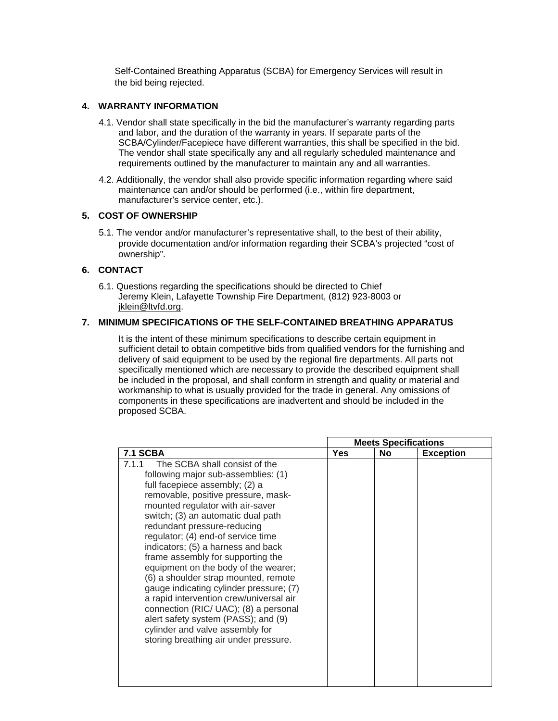Self-Contained Breathing Apparatus (SCBA) for Emergency Services will result in the bid being rejected.

#### **4. WARRANTY INFORMATION**

- 4.1. Vendor shall state specifically in the bid the manufacturer's warranty regarding parts and labor, and the duration of the warranty in years. If separate parts of the SCBA/Cylinder/Facepiece have different warranties, this shall be specified in the bid. The vendor shall state specifically any and all regularly scheduled maintenance and requirements outlined by the manufacturer to maintain any and all warranties.
- 4.2. Additionally, the vendor shall also provide specific information regarding where said maintenance can and/or should be performed (i.e., within fire department, manufacturer's service center, etc.).

#### **5. COST OF OWNERSHIP**

5.1. The vendor and/or manufacturer's representative shall, to the best of their ability, provide documentation and/or information regarding their SCBA's projected "cost of ownership".

#### **6. CONTACT**

6.1. Questions regarding the specifications should be directed to Chief Jeremy Klein, Lafayette Township Fire Department, (812) 923-8003 or jklein@ltvfd.org.

#### **7. MINIMUM SPECIFICATIONS OF THE SELF-CONTAINED BREATHING APPARATUS**

 It is the intent of these minimum specifications to describe certain equipment in sufficient detail to obtain competitive bids from qualified vendors for the furnishing and delivery of said equipment to be used by the regional fire departments. All parts not specifically mentioned which are necessary to provide the described equipment shall be included in the proposal, and shall conform in strength and quality or material and workmanship to what is usually provided for the trade in general. Any omissions of components in these specifications are inadvertent and should be included in the proposed SCBA.

|                                                                                                                                                                                                                                                                                                                                                                                                                                                                                                                                                                                                                                                                                                                    | <b>Meets Specifications</b><br>Yes<br><b>No</b><br><b>Exception</b> |  |  |
|--------------------------------------------------------------------------------------------------------------------------------------------------------------------------------------------------------------------------------------------------------------------------------------------------------------------------------------------------------------------------------------------------------------------------------------------------------------------------------------------------------------------------------------------------------------------------------------------------------------------------------------------------------------------------------------------------------------------|---------------------------------------------------------------------|--|--|
| <b>7.1 SCBA</b>                                                                                                                                                                                                                                                                                                                                                                                                                                                                                                                                                                                                                                                                                                    |                                                                     |  |  |
| The SCBA shall consist of the<br>7.1.1<br>following major sub-assemblies: (1)<br>full facepiece assembly; (2) a<br>removable, positive pressure, mask-<br>mounted regulator with air-saver<br>switch; (3) an automatic dual path<br>redundant pressure-reducing<br>regulator; (4) end-of service time<br>indicators; (5) a harness and back<br>frame assembly for supporting the<br>equipment on the body of the wearer;<br>(6) a shoulder strap mounted, remote<br>gauge indicating cylinder pressure; (7)<br>a rapid intervention crew/universal air<br>connection (RIC/ UAC); (8) a personal<br>alert safety system (PASS); and (9)<br>cylinder and valve assembly for<br>storing breathing air under pressure. |                                                                     |  |  |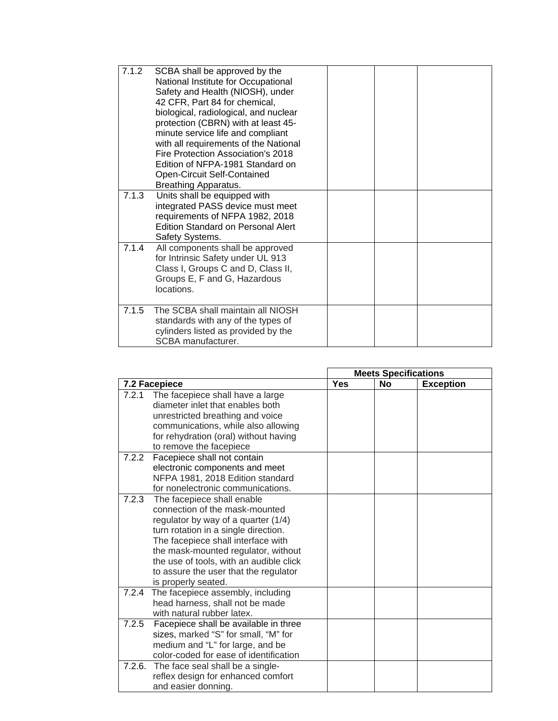| 7.1.2 | SCBA shall be approved by the<br>National Institute for Occupational<br>Safety and Health (NIOSH), under<br>42 CFR, Part 84 for chemical,<br>biological, radiological, and nuclear<br>protection (CBRN) with at least 45-<br>minute service life and compliant<br>with all requirements of the National<br>Fire Protection Association's 2018<br>Edition of NFPA-1981 Standard on<br>Open-Circuit Self-Contained<br><b>Breathing Apparatus.</b> |  |  |
|-------|-------------------------------------------------------------------------------------------------------------------------------------------------------------------------------------------------------------------------------------------------------------------------------------------------------------------------------------------------------------------------------------------------------------------------------------------------|--|--|
| 7.1.3 | Units shall be equipped with<br>integrated PASS device must meet<br>requirements of NFPA 1982, 2018<br><b>Edition Standard on Personal Alert</b><br>Safety Systems.                                                                                                                                                                                                                                                                             |  |  |
| 7.1.4 | All components shall be approved<br>for Intrinsic Safety under UL 913<br>Class I, Groups C and D, Class II,<br>Groups E, F and G, Hazardous<br>locations.                                                                                                                                                                                                                                                                                       |  |  |
| 7.1.5 | The SCBA shall maintain all NIOSH<br>standards with any of the types of<br>cylinders listed as provided by the<br>SCBA manufacturer.                                                                                                                                                                                                                                                                                                            |  |  |

|       |                                                                      |            | <b>Meets Specifications</b> |                  |
|-------|----------------------------------------------------------------------|------------|-----------------------------|------------------|
|       | 7.2 Facepiece                                                        | <b>Yes</b> | <b>No</b>                   | <b>Exception</b> |
| 7.2.1 | The facepiece shall have a large<br>diameter inlet that enables both |            |                             |                  |
|       | unrestricted breathing and voice                                     |            |                             |                  |
|       | communications, while also allowing                                  |            |                             |                  |
|       | for rehydration (oral) without having                                |            |                             |                  |
|       | to remove the facepiece                                              |            |                             |                  |
| 7.2.2 | Facepiece shall not contain                                          |            |                             |                  |
|       | electronic components and meet                                       |            |                             |                  |
|       | NFPA 1981, 2018 Edition standard                                     |            |                             |                  |
|       | for nonelectronic communications.                                    |            |                             |                  |
| 7.2.3 | The facepiece shall enable                                           |            |                             |                  |
|       | connection of the mask-mounted                                       |            |                             |                  |
|       | regulator by way of a quarter (1/4)                                  |            |                             |                  |
|       | turn rotation in a single direction.                                 |            |                             |                  |
|       | The facepiece shall interface with                                   |            |                             |                  |
|       | the mask-mounted regulator, without                                  |            |                             |                  |
|       | the use of tools, with an audible click                              |            |                             |                  |
|       | to assure the user that the regulator<br>is properly seated.         |            |                             |                  |
|       | 7.2.4 The facepiece assembly, including                              |            |                             |                  |
|       | head harness, shall not be made                                      |            |                             |                  |
|       | with natural rubber latex.                                           |            |                             |                  |
| 7.2.5 | Facepiece shall be available in three                                |            |                             |                  |
|       | sizes, marked "S" for small, "M" for                                 |            |                             |                  |
|       | medium and "L" for large, and be                                     |            |                             |                  |
|       | color-coded for ease of identification                               |            |                             |                  |
|       | 7.2.6. The face seal shall be a single-                              |            |                             |                  |
|       | reflex design for enhanced comfort                                   |            |                             |                  |
|       | and easier donning.                                                  |            |                             |                  |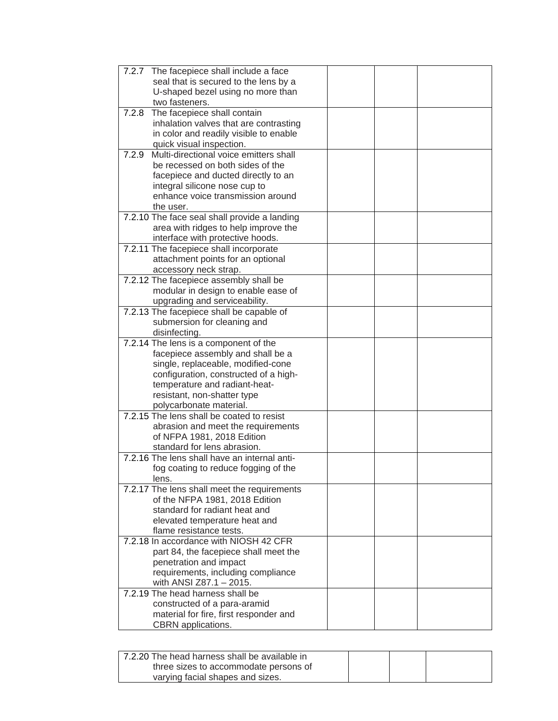| 7.2.7 | The facepiece shall include a face                                          |  |  |
|-------|-----------------------------------------------------------------------------|--|--|
|       | seal that is secured to the lens by a                                       |  |  |
|       | U-shaped bezel using no more than                                           |  |  |
|       | two fasteners.                                                              |  |  |
| 7.2.8 | The facepiece shall contain                                                 |  |  |
|       | inhalation valves that are contrasting                                      |  |  |
|       | in color and readily visible to enable                                      |  |  |
|       | quick visual inspection.                                                    |  |  |
| 7.2.9 | Multi-directional voice emitters shall                                      |  |  |
|       | be recessed on both sides of the                                            |  |  |
|       | facepiece and ducted directly to an                                         |  |  |
|       | integral silicone nose cup to                                               |  |  |
|       | enhance voice transmission around                                           |  |  |
|       | the user.                                                                   |  |  |
|       | 7.2.10 The face seal shall provide a landing                                |  |  |
|       | area with ridges to help improve the<br>interface with protective hoods.    |  |  |
|       | 7.2.11 The facepiece shall incorporate                                      |  |  |
|       | attachment points for an optional                                           |  |  |
|       | accessory neck strap.                                                       |  |  |
|       | 7.2.12 The facepiece assembly shall be                                      |  |  |
|       | modular in design to enable ease of                                         |  |  |
|       | upgrading and serviceability.                                               |  |  |
|       | 7.2.13 The facepiece shall be capable of                                    |  |  |
|       | submersion for cleaning and                                                 |  |  |
|       | disinfecting.                                                               |  |  |
|       | 7.2.14 The lens is a component of the                                       |  |  |
|       | facepiece assembly and shall be a                                           |  |  |
|       | single, replaceable, modified-cone                                          |  |  |
|       | configuration, constructed of a high-                                       |  |  |
|       | temperature and radiant-heat-                                               |  |  |
|       | resistant, non-shatter type                                                 |  |  |
|       | polycarbonate material.                                                     |  |  |
|       | 7.2.15 The lens shall be coated to resist                                   |  |  |
|       | abrasion and meet the requirements                                          |  |  |
|       | of NFPA 1981, 2018 Edition                                                  |  |  |
|       | standard for lens abrasion.<br>7.2.16 The lens shall have an internal anti- |  |  |
|       | fog coating to reduce fogging of the                                        |  |  |
|       | lens.                                                                       |  |  |
|       | 7.2.17 The lens shall meet the requirements                                 |  |  |
|       | of the NFPA 1981, 2018 Edition                                              |  |  |
|       | standard for radiant heat and                                               |  |  |
|       | elevated temperature heat and                                               |  |  |
|       | flame resistance tests.                                                     |  |  |
|       | 7.2.18 In accordance with NIOSH 42 CFR                                      |  |  |
|       | part 84, the facepiece shall meet the                                       |  |  |
|       | penetration and impact                                                      |  |  |
|       | requirements, including compliance                                          |  |  |
|       | with ANSI Z87.1 - 2015.                                                     |  |  |
|       | 7.2.19 The head harness shall be                                            |  |  |
|       | constructed of a para-aramid                                                |  |  |
|       | material for fire, first responder and                                      |  |  |
|       | CBRN applications.                                                          |  |  |

| 7.2.20 The head harness shall be available in |  |  |
|-----------------------------------------------|--|--|
| three sizes to accommodate persons of         |  |  |
| varying facial shapes and sizes.              |  |  |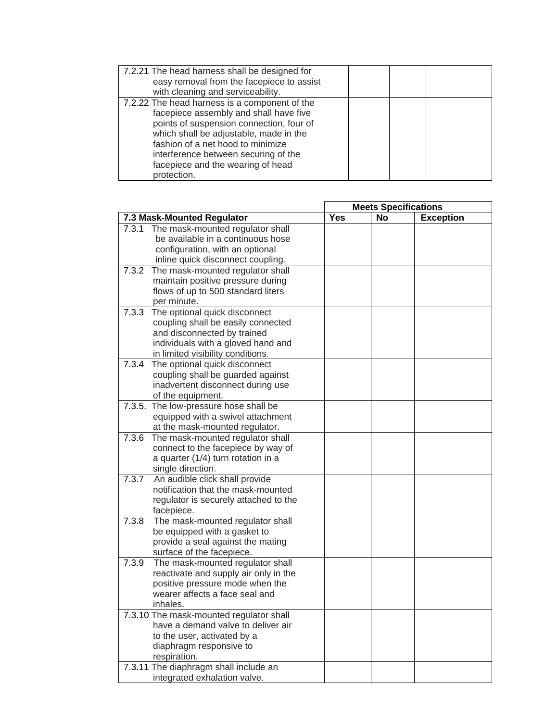| 7.2.21 The head harness shall be designed for<br>easy removal from the facepiece to assist                                                                                                                                                                                                                     |  |
|----------------------------------------------------------------------------------------------------------------------------------------------------------------------------------------------------------------------------------------------------------------------------------------------------------------|--|
| with cleaning and serviceability.                                                                                                                                                                                                                                                                              |  |
| 7.2.22 The head harness is a component of the<br>facepiece assembly and shall have five<br>points of suspension connection, four of<br>which shall be adjustable, made in the<br>fashion of a net hood to minimize<br>interference between securing of the<br>facepiece and the wearing of head<br>protection. |  |

|                            |                                                                                                                                                                               | <b>Meets Specifications</b> |    |                  |  |
|----------------------------|-------------------------------------------------------------------------------------------------------------------------------------------------------------------------------|-----------------------------|----|------------------|--|
| 7.3 Mask-Mounted Regulator |                                                                                                                                                                               | <b>Yes</b>                  | No | <b>Exception</b> |  |
| 7.3.1                      | The mask-mounted regulator shall<br>be available in a continuous hose<br>configuration, with an optional<br>inline quick disconnect coupling.                                 |                             |    |                  |  |
| 7.3.2                      | The mask-mounted regulator shall<br>maintain positive pressure during<br>flows of up to 500 standard liters<br>per minute.                                                    |                             |    |                  |  |
| 7.3.3                      | The optional quick disconnect<br>coupling shall be easily connected<br>and disconnected by trained<br>individuals with a gloved hand and<br>in limited visibility conditions. |                             |    |                  |  |
| 7.3.4                      | The optional quick disconnect<br>coupling shall be guarded against<br>inadvertent disconnect during use<br>of the equipment.                                                  |                             |    |                  |  |
|                            | 7.3.5. The low-pressure hose shall be<br>equipped with a swivel attachment<br>at the mask-mounted regulator.                                                                  |                             |    |                  |  |
| 7.3.6                      | The mask-mounted regulator shall<br>connect to the facepiece by way of<br>a quarter (1/4) turn rotation in a<br>single direction.                                             |                             |    |                  |  |
| 7.3.7                      | An audible click shall provide<br>notification that the mask-mounted<br>regulator is securely attached to the<br>facepiece.                                                   |                             |    |                  |  |
| 7.3.8                      | The mask-mounted regulator shall<br>be equipped with a gasket to<br>provide a seal against the mating<br>surface of the facepiece.                                            |                             |    |                  |  |
| 7.3.9                      | The mask-mounted regulator shall<br>reactivate and supply air only in the<br>positive pressure mode when the<br>wearer affects a face seal and<br>inhales.                    |                             |    |                  |  |
|                            | 7.3.10 The mask-mounted regulator shall<br>have a demand valve to deliver air<br>to the user, activated by a<br>diaphragm responsive to<br>respiration.                       |                             |    |                  |  |
|                            | 7.3.11 The diaphragm shall include an<br>integrated exhalation valve.                                                                                                         |                             |    |                  |  |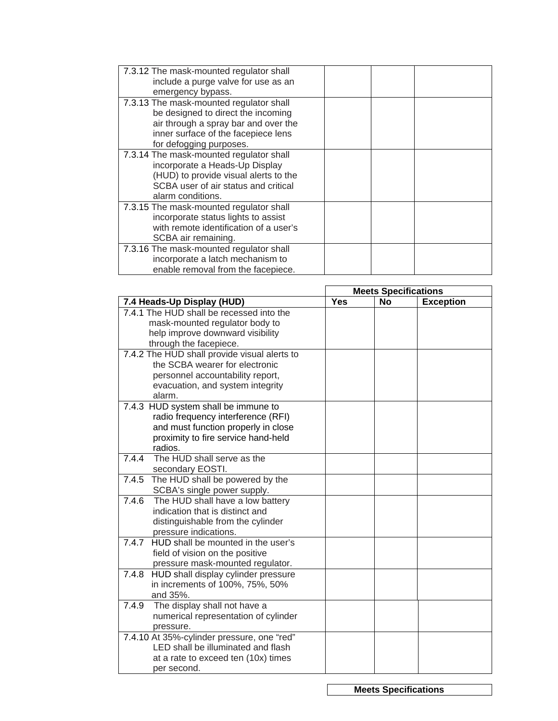| 7.3.12 The mask-mounted regulator shall<br>include a purge valve for use as an<br>emergency bypass.                                                                                     |  |
|-----------------------------------------------------------------------------------------------------------------------------------------------------------------------------------------|--|
| 7.3.13 The mask-mounted regulator shall<br>be designed to direct the incoming<br>air through a spray bar and over the<br>inner surface of the facepiece lens<br>for defogging purposes. |  |
| 7.3.14 The mask-mounted regulator shall<br>incorporate a Heads-Up Display<br>(HUD) to provide visual alerts to the<br>SCBA user of air status and critical<br>alarm conditions.         |  |
| 7.3.15 The mask-mounted regulator shall<br>incorporate status lights to assist<br>with remote identification of a user's<br>SCBA air remaining.                                         |  |
| 7.3.16 The mask-mounted regulator shall<br>incorporate a latch mechanism to<br>enable removal from the facepiece.                                                                       |  |

|                                              | <b>Meets Specifications</b> |           |                  |
|----------------------------------------------|-----------------------------|-----------|------------------|
| 7.4 Heads-Up Display (HUD)                   | <b>Yes</b>                  | <b>No</b> | <b>Exception</b> |
| 7.4.1 The HUD shall be recessed into the     |                             |           |                  |
| mask-mounted regulator body to               |                             |           |                  |
| help improve downward visibility             |                             |           |                  |
| through the facepiece.                       |                             |           |                  |
| 7.4.2 The HUD shall provide visual alerts to |                             |           |                  |
| the SCBA wearer for electronic               |                             |           |                  |
| personnel accountability report,             |                             |           |                  |
| evacuation, and system integrity             |                             |           |                  |
| alarm.                                       |                             |           |                  |
| 7.4.3 HUD system shall be immune to          |                             |           |                  |
| radio frequency interference (RFI)           |                             |           |                  |
| and must function properly in close          |                             |           |                  |
| proximity to fire service hand-held          |                             |           |                  |
| radios.                                      |                             |           |                  |
| 7.4.4<br>The HUD shall serve as the          |                             |           |                  |
| secondary EOSTI.                             |                             |           |                  |
| 7.4.5 The HUD shall be powered by the        |                             |           |                  |
| SCBA's single power supply.                  |                             |           |                  |
| The HUD shall have a low battery<br>7.4.6    |                             |           |                  |
| indication that is distinct and              |                             |           |                  |
| distinguishable from the cylinder            |                             |           |                  |
| pressure indications.                        |                             |           |                  |
| 7.4.7 HUD shall be mounted in the user's     |                             |           |                  |
| field of vision on the positive              |                             |           |                  |
| pressure mask-mounted regulator.             |                             |           |                  |
| 7.4.8 HUD shall display cylinder pressure    |                             |           |                  |
| in increments of 100%, 75%, 50%              |                             |           |                  |
| and 35%.                                     |                             |           |                  |
| 7.4.9 The display shall not have a           |                             |           |                  |
| numerical representation of cylinder         |                             |           |                  |
| pressure.                                    |                             |           |                  |
| 7.4.10 At 35%-cylinder pressure, one "red"   |                             |           |                  |
| LED shall be illuminated and flash           |                             |           |                  |
| at a rate to exceed ten (10x) times          |                             |           |                  |
| per second.                                  |                             |           |                  |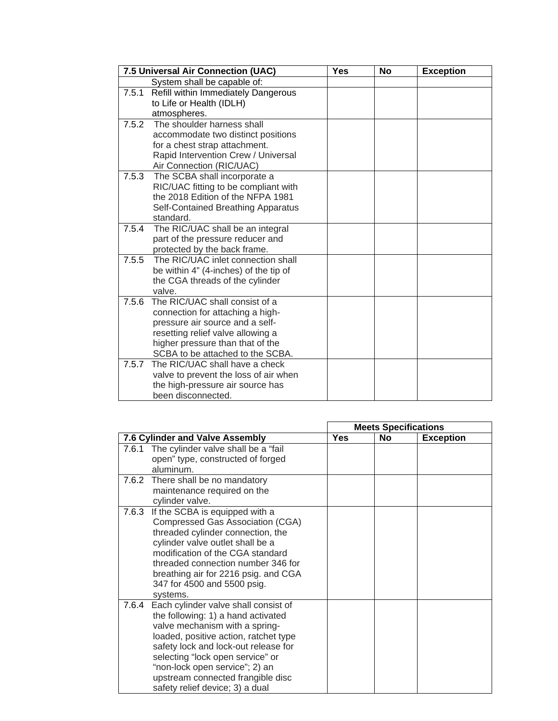|       | 7.5 Universal Air Connection (UAC)              | <b>Yes</b> | <b>No</b> | <b>Exception</b> |
|-------|-------------------------------------------------|------------|-----------|------------------|
|       | System shall be capable of:                     |            |           |                  |
| 7.5.1 | Refill within Immediately Dangerous             |            |           |                  |
|       | to Life or Health (IDLH)                        |            |           |                  |
|       | atmospheres.                                    |            |           |                  |
| 7.5.2 | The shoulder harness shall                      |            |           |                  |
|       | accommodate two distinct positions              |            |           |                  |
|       | for a chest strap attachment.                   |            |           |                  |
|       | Rapid Intervention Crew / Universal             |            |           |                  |
|       | Air Connection (RIC/UAC)                        |            |           |                  |
| 7.5.3 | The SCBA shall incorporate a                    |            |           |                  |
|       | RIC/UAC fitting to be compliant with            |            |           |                  |
|       | the 2018 Edition of the NFPA 1981               |            |           |                  |
|       | Self-Contained Breathing Apparatus<br>standard. |            |           |                  |
| 7.5.4 | The RIC/UAC shall be an integral                |            |           |                  |
|       | part of the pressure reducer and                |            |           |                  |
|       | protected by the back frame.                    |            |           |                  |
| 7.5.5 | The RIC/UAC inlet connection shall              |            |           |                  |
|       | be within 4" (4-inches) of the tip of           |            |           |                  |
|       | the CGA threads of the cylinder                 |            |           |                  |
|       | valve.                                          |            |           |                  |
| 7.5.6 | The RIC/UAC shall consist of a                  |            |           |                  |
|       | connection for attaching a high-                |            |           |                  |
|       | pressure air source and a self-                 |            |           |                  |
|       | resetting relief valve allowing a               |            |           |                  |
|       | higher pressure than that of the                |            |           |                  |
|       | SCBA to be attached to the SCBA.                |            |           |                  |
| 7.5.7 | The RIC/UAC shall have a check                  |            |           |                  |
|       | valve to prevent the loss of air when           |            |           |                  |
|       | the high-pressure air source has                |            |           |                  |
|       | been disconnected.                              |            |           |                  |

|       |                                                                                                                                                                                                                                                                                                                                             | <b>Meets Specifications</b> |           |                  |
|-------|---------------------------------------------------------------------------------------------------------------------------------------------------------------------------------------------------------------------------------------------------------------------------------------------------------------------------------------------|-----------------------------|-----------|------------------|
|       | 7.6 Cylinder and Valve Assembly                                                                                                                                                                                                                                                                                                             | <b>Yes</b>                  | <b>No</b> | <b>Exception</b> |
| 7.6.1 | The cylinder valve shall be a "fail"<br>open" type, constructed of forged<br>aluminum.                                                                                                                                                                                                                                                      |                             |           |                  |
|       | 7.6.2 There shall be no mandatory<br>maintenance required on the<br>cylinder valve.                                                                                                                                                                                                                                                         |                             |           |                  |
| 7.6.3 | If the SCBA is equipped with a<br>Compressed Gas Association (CGA)<br>threaded cylinder connection, the<br>cylinder valve outlet shall be a<br>modification of the CGA standard<br>threaded connection number 346 for<br>breathing air for 2216 psig. and CGA<br>347 for 4500 and 5500 psig.<br>systems.                                    |                             |           |                  |
| 7.6.4 | Each cylinder valve shall consist of<br>the following: 1) a hand activated<br>valve mechanism with a spring-<br>loaded, positive action, ratchet type<br>safety lock and lock-out release for<br>selecting "lock open service" or<br>"non-lock open service"; 2) an<br>upstream connected frangible disc<br>safety relief device; 3) a dual |                             |           |                  |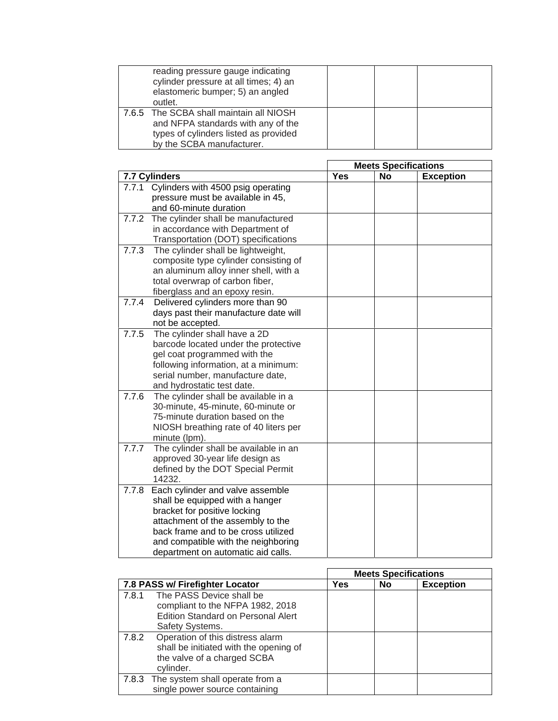| reading pressure gauge indicating<br>cylinder pressure at all times; 4) an<br>elastomeric bumper; 5) an angled<br>outlet.                           |  |  |
|-----------------------------------------------------------------------------------------------------------------------------------------------------|--|--|
| 7.6.5 The SCBA shall maintain all NIOSH<br>and NFPA standards with any of the<br>types of cylinders listed as provided<br>by the SCBA manufacturer. |  |  |

|       |                                       |            | <b>Meets Specifications</b> |                  |  |  |
|-------|---------------------------------------|------------|-----------------------------|------------------|--|--|
|       | 7.7 Cylinders                         | <b>Yes</b> | <b>No</b>                   | <b>Exception</b> |  |  |
| 7.7.1 | Cylinders with 4500 psig operating    |            |                             |                  |  |  |
|       | pressure must be available in 45,     |            |                             |                  |  |  |
|       | and 60-minute duration                |            |                             |                  |  |  |
| 7.7.2 | The cylinder shall be manufactured    |            |                             |                  |  |  |
|       | in accordance with Department of      |            |                             |                  |  |  |
|       | Transportation (DOT) specifications   |            |                             |                  |  |  |
| 7.7.3 | The cylinder shall be lightweight,    |            |                             |                  |  |  |
|       | composite type cylinder consisting of |            |                             |                  |  |  |
|       | an aluminum alloy inner shell, with a |            |                             |                  |  |  |
|       | total overwrap of carbon fiber,       |            |                             |                  |  |  |
|       | fiberglass and an epoxy resin.        |            |                             |                  |  |  |
| 7.7.4 | Delivered cylinders more than 90      |            |                             |                  |  |  |
|       | days past their manufacture date will |            |                             |                  |  |  |
|       | not be accepted.                      |            |                             |                  |  |  |
| 7.7.5 | The cylinder shall have a 2D          |            |                             |                  |  |  |
|       | barcode located under the protective  |            |                             |                  |  |  |
|       | gel coat programmed with the          |            |                             |                  |  |  |
|       | following information, at a minimum:  |            |                             |                  |  |  |
|       | serial number, manufacture date,      |            |                             |                  |  |  |
|       | and hydrostatic test date.            |            |                             |                  |  |  |
| 7.7.6 | The cylinder shall be available in a  |            |                             |                  |  |  |
|       | 30-minute, 45-minute, 60-minute or    |            |                             |                  |  |  |
|       | 75-minute duration based on the       |            |                             |                  |  |  |
|       | NIOSH breathing rate of 40 liters per |            |                             |                  |  |  |
|       | minute (lpm).                         |            |                             |                  |  |  |
| 7.7.7 | The cylinder shall be available in an |            |                             |                  |  |  |
|       | approved 30-year life design as       |            |                             |                  |  |  |
|       | defined by the DOT Special Permit     |            |                             |                  |  |  |
|       | 14232.                                |            |                             |                  |  |  |
| 7.7.8 | Each cylinder and valve assemble      |            |                             |                  |  |  |
|       | shall be equipped with a hanger       |            |                             |                  |  |  |
|       | bracket for positive locking          |            |                             |                  |  |  |
|       | attachment of the assembly to the     |            |                             |                  |  |  |
|       | back frame and to be cross utilized   |            |                             |                  |  |  |
|       | and compatible with the neighboring   |            |                             |                  |  |  |
|       | department on automatic aid calls.    |            |                             |                  |  |  |

|       |                                                                                                                              |     | <b>Meets Specifications</b> |                  |
|-------|------------------------------------------------------------------------------------------------------------------------------|-----|-----------------------------|------------------|
|       | 7.8 PASS w/ Firefighter Locator                                                                                              | Yes | No                          | <b>Exception</b> |
| 7.8.1 | The PASS Device shall be<br>compliant to the NFPA 1982, 2018<br><b>Edition Standard on Personal Alert</b><br>Safety Systems. |     |                             |                  |
| 7.8.2 | Operation of this distress alarm<br>shall be initiated with the opening of<br>the valve of a charged SCBA<br>cylinder.       |     |                             |                  |
|       | 7.8.3 The system shall operate from a<br>single power source containing                                                      |     |                             |                  |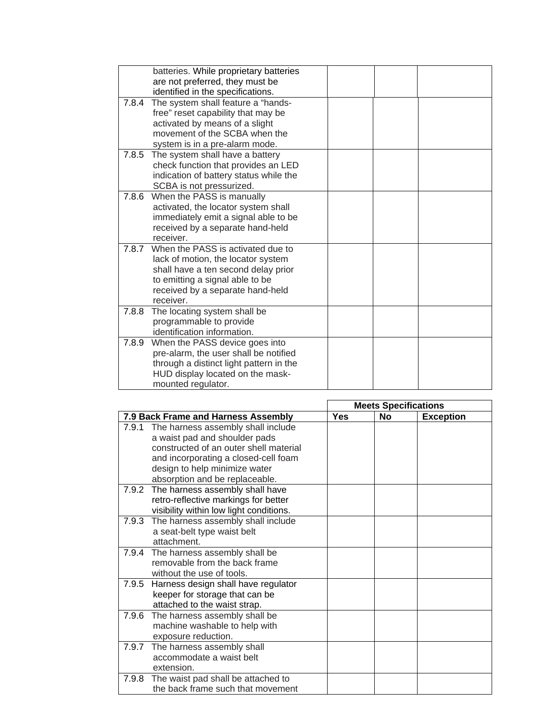|       | batteries. While proprietary batteries<br>are not preferred, they must be<br>identified in the specifications.                                                                                     |  |
|-------|----------------------------------------------------------------------------------------------------------------------------------------------------------------------------------------------------|--|
| 7.8.4 | The system shall feature a "hands-<br>free" reset capability that may be<br>activated by means of a slight<br>movement of the SCBA when the<br>system is in a pre-alarm mode.                      |  |
| 7.8.5 | The system shall have a battery<br>check function that provides an LED<br>indication of battery status while the<br>SCBA is not pressurized.                                                       |  |
| 7.8.6 | When the PASS is manually<br>activated, the locator system shall<br>immediately emit a signal able to be<br>received by a separate hand-held<br>receiver.                                          |  |
| 7.8.7 | When the PASS is activated due to<br>lack of motion, the locator system<br>shall have a ten second delay prior<br>to emitting a signal able to be<br>received by a separate hand-held<br>receiver. |  |
| 7.8.8 | The locating system shall be<br>programmable to provide<br>identification information.                                                                                                             |  |
| 7.8.9 | When the PASS device goes into<br>pre-alarm, the user shall be notified<br>through a distinct light pattern in the<br>HUD display located on the mask-<br>mounted regulator.                       |  |

|       |                                           |            | <b>Meets Specifications</b> |                  |  |  |
|-------|-------------------------------------------|------------|-----------------------------|------------------|--|--|
|       | 7.9 Back Frame and Harness Assembly       | <b>Yes</b> | <b>No</b>                   | <b>Exception</b> |  |  |
| 7.9.1 | The harness assembly shall include        |            |                             |                  |  |  |
|       | a waist pad and shoulder pads             |            |                             |                  |  |  |
|       | constructed of an outer shell material    |            |                             |                  |  |  |
|       | and incorporating a closed-cell foam      |            |                             |                  |  |  |
|       | design to help minimize water             |            |                             |                  |  |  |
|       | absorption and be replaceable.            |            |                             |                  |  |  |
|       | 7.9.2 The harness assembly shall have     |            |                             |                  |  |  |
|       | retro-reflective markings for better      |            |                             |                  |  |  |
|       | visibility within low light conditions.   |            |                             |                  |  |  |
|       | 7.9.3 The harness assembly shall include  |            |                             |                  |  |  |
|       | a seat-belt type waist belt               |            |                             |                  |  |  |
|       | attachment.                               |            |                             |                  |  |  |
|       | 7.9.4 The harness assembly shall be       |            |                             |                  |  |  |
|       | removable from the back frame             |            |                             |                  |  |  |
|       | without the use of tools.                 |            |                             |                  |  |  |
|       | 7.9.5 Harness design shall have regulator |            |                             |                  |  |  |
|       | keeper for storage that can be            |            |                             |                  |  |  |
|       | attached to the waist strap.              |            |                             |                  |  |  |
|       | 7.9.6 The harness assembly shall be       |            |                             |                  |  |  |
|       | machine washable to help with             |            |                             |                  |  |  |
|       | exposure reduction.                       |            |                             |                  |  |  |
|       | 7.9.7 The harness assembly shall          |            |                             |                  |  |  |
|       | accommodate a waist belt                  |            |                             |                  |  |  |
|       | extension.                                |            |                             |                  |  |  |
| 7.9.8 | The waist pad shall be attached to        |            |                             |                  |  |  |
|       | the back frame such that movement         |            |                             |                  |  |  |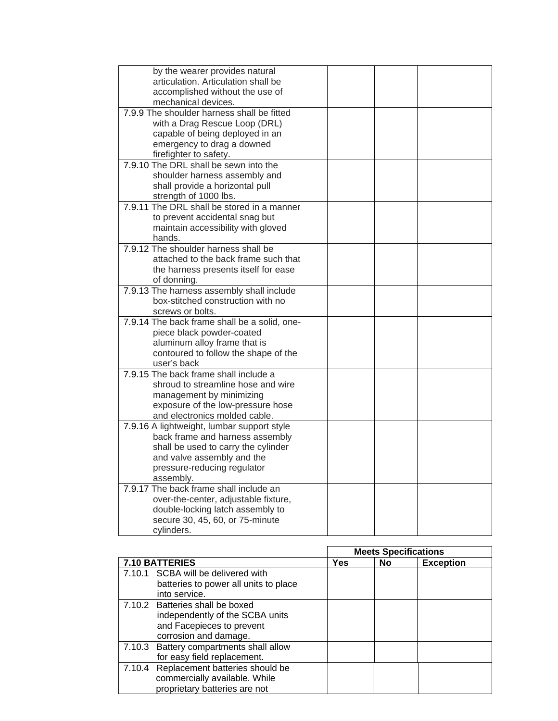| by the wearer provides natural                                                |  |  |
|-------------------------------------------------------------------------------|--|--|
| articulation. Articulation shall be                                           |  |  |
| accomplished without the use of                                               |  |  |
| mechanical devices.                                                           |  |  |
| 7.9.9 The shoulder harness shall be fitted                                    |  |  |
| with a Drag Rescue Loop (DRL)                                                 |  |  |
| capable of being deployed in an                                               |  |  |
| emergency to drag a downed                                                    |  |  |
| firefighter to safety.<br>7.9.10 The DRL shall be sewn into the               |  |  |
|                                                                               |  |  |
| shoulder harness assembly and                                                 |  |  |
| shall provide a horizontal pull<br>strength of 1000 lbs.                      |  |  |
| 7.9.11 The DRL shall be stored in a manner                                    |  |  |
| to prevent accidental snag but                                                |  |  |
| maintain accessibility with gloved                                            |  |  |
| hands.                                                                        |  |  |
| 7.9.12 The shoulder harness shall be                                          |  |  |
| attached to the back frame such that                                          |  |  |
| the harness presents itself for ease                                          |  |  |
| of donning.                                                                   |  |  |
| 7.9.13 The harness assembly shall include                                     |  |  |
| box-stitched construction with no                                             |  |  |
| screws or bolts.                                                              |  |  |
| 7.9.14 The back frame shall be a solid, one-                                  |  |  |
| piece black powder-coated                                                     |  |  |
| aluminum alloy frame that is                                                  |  |  |
| contoured to follow the shape of the                                          |  |  |
| user's back                                                                   |  |  |
| 7.9.15 The back frame shall include a                                         |  |  |
| shroud to streamline hose and wire                                            |  |  |
| management by minimizing                                                      |  |  |
| exposure of the low-pressure hose                                             |  |  |
| and electronics molded cable.                                                 |  |  |
| 7.9.16 A lightweight, lumbar support style<br>back frame and harness assembly |  |  |
|                                                                               |  |  |
| shall be used to carry the cylinder<br>and valve assembly and the             |  |  |
| pressure-reducing regulator                                                   |  |  |
| assembly.                                                                     |  |  |
| 7.9.17 The back frame shall include an                                        |  |  |
| over-the-center, adjustable fixture,                                          |  |  |
| double-locking latch assembly to                                              |  |  |
| secure 30, 45, 60, or 75-minute                                               |  |  |
| cylinders.                                                                    |  |  |

|                                                                                                                          | <b>Meets Specifications</b> |           |                  |
|--------------------------------------------------------------------------------------------------------------------------|-----------------------------|-----------|------------------|
| 7.10 BATTERIES                                                                                                           | Yes                         | <b>No</b> | <b>Exception</b> |
| 7.10.1 SCBA will be delivered with<br>batteries to power all units to place<br>into service.                             |                             |           |                  |
| 7.10.2 Batteries shall be boxed<br>independently of the SCBA units<br>and Facepieces to prevent<br>corrosion and damage. |                             |           |                  |
| 7.10.3 Battery compartments shall allow<br>for easy field replacement.                                                   |                             |           |                  |
| 7.10.4 Replacement batteries should be<br>commercially available. While<br>proprietary batteries are not                 |                             |           |                  |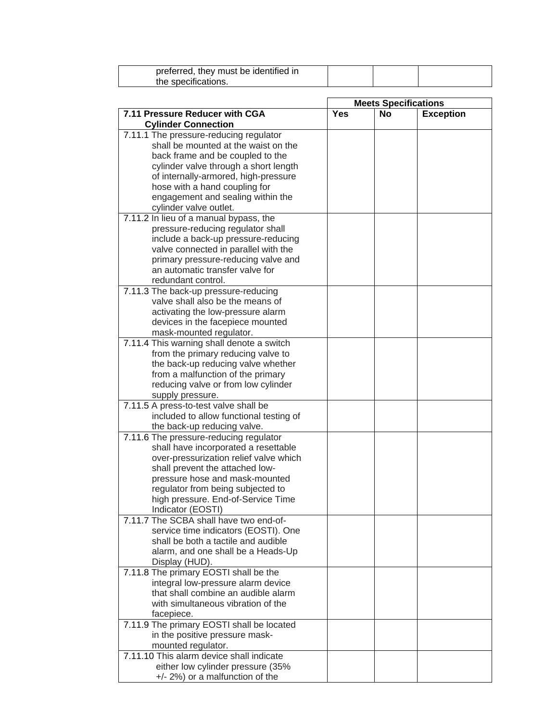| preferred, they must be identified in |  |  |
|---------------------------------------|--|--|
| the specifications.                   |  |  |

|                                                                             |     |           | <b>Meets Specifications</b> |
|-----------------------------------------------------------------------------|-----|-----------|-----------------------------|
| 7.11 Pressure Reducer with CGA<br><b>Cylinder Connection</b>                | Yes | <b>No</b> | <b>Exception</b>            |
| 7.11.1 The pressure-reducing regulator                                      |     |           |                             |
| shall be mounted at the waist on the                                        |     |           |                             |
| back frame and be coupled to the                                            |     |           |                             |
| cylinder valve through a short length                                       |     |           |                             |
| of internally-armored, high-pressure                                        |     |           |                             |
| hose with a hand coupling for                                               |     |           |                             |
| engagement and sealing within the                                           |     |           |                             |
| cylinder valve outlet.                                                      |     |           |                             |
| 7.11.2 In lieu of a manual bypass, the                                      |     |           |                             |
| pressure-reducing regulator shall                                           |     |           |                             |
| include a back-up pressure-reducing                                         |     |           |                             |
| valve connected in parallel with the                                        |     |           |                             |
| primary pressure-reducing valve and                                         |     |           |                             |
| an automatic transfer valve for                                             |     |           |                             |
| redundant control.                                                          |     |           |                             |
| 7.11.3 The back-up pressure-reducing                                        |     |           |                             |
| valve shall also be the means of                                            |     |           |                             |
|                                                                             |     |           |                             |
| activating the low-pressure alarm<br>devices in the facepiece mounted       |     |           |                             |
| mask-mounted regulator.                                                     |     |           |                             |
| 7.11.4 This warning shall denote a switch                                   |     |           |                             |
| from the primary reducing valve to                                          |     |           |                             |
| the back-up reducing valve whether                                          |     |           |                             |
|                                                                             |     |           |                             |
| from a malfunction of the primary<br>reducing valve or from low cylinder    |     |           |                             |
| supply pressure.                                                            |     |           |                             |
| 7.11.5 A press-to-test valve shall be                                       |     |           |                             |
| included to allow functional testing of                                     |     |           |                             |
|                                                                             |     |           |                             |
| the back-up reducing valve.<br>7.11.6 The pressure-reducing regulator       |     |           |                             |
| shall have incorporated a resettable                                        |     |           |                             |
| over-pressurization relief valve which                                      |     |           |                             |
|                                                                             |     |           |                             |
| shall prevent the attached low-                                             |     |           |                             |
| pressure hose and mask-mounted                                              |     |           |                             |
| regulator from being subjected to                                           |     |           |                             |
| high pressure. End-of-Service Time                                          |     |           |                             |
| Indicator (EOSTI)<br>7.11.7 The SCBA shall have two end-of-                 |     |           |                             |
|                                                                             |     |           |                             |
| service time indicators (EOSTI). One<br>shall be both a tactile and audible |     |           |                             |
|                                                                             |     |           |                             |
| alarm, and one shall be a Heads-Up<br>Display (HUD).                        |     |           |                             |
| 7.11.8 The primary EOSTI shall be the                                       |     |           |                             |
| integral low-pressure alarm device                                          |     |           |                             |
| that shall combine an audible alarm                                         |     |           |                             |
| with simultaneous vibration of the                                          |     |           |                             |
| facepiece.                                                                  |     |           |                             |
| 7.11.9 The primary EOSTI shall be located                                   |     |           |                             |
| in the positive pressure mask-                                              |     |           |                             |
| mounted regulator.                                                          |     |           |                             |
| 7.11.10 This alarm device shall indicate                                    |     |           |                             |
| either low cylinder pressure (35%                                           |     |           |                             |
| $+/- 2\%)$ or a malfunction of the                                          |     |           |                             |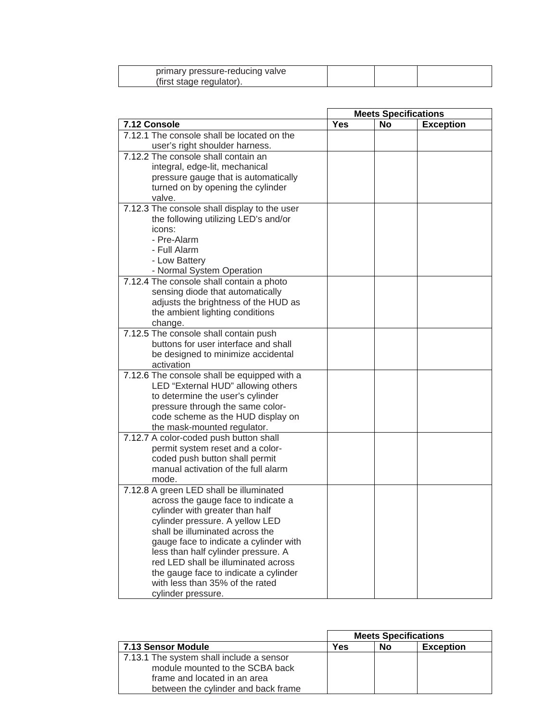| primary pressure-reducing valve |  |  |
|---------------------------------|--|--|
| (first stage regulator).        |  |  |

|                                                                              | <b>Meets Specifications</b> |           |                  |
|------------------------------------------------------------------------------|-----------------------------|-----------|------------------|
| 7.12 Console                                                                 | <b>Yes</b>                  | <b>No</b> | <b>Exception</b> |
| 7.12.1 The console shall be located on the                                   |                             |           |                  |
| user's right shoulder harness.                                               |                             |           |                  |
| 7.12.2 The console shall contain an                                          |                             |           |                  |
| integral, edge-lit, mechanical                                               |                             |           |                  |
| pressure gauge that is automatically                                         |                             |           |                  |
| turned on by opening the cylinder                                            |                             |           |                  |
| valve.                                                                       |                             |           |                  |
| 7.12.3 The console shall display to the user                                 |                             |           |                  |
| the following utilizing LED's and/or                                         |                             |           |                  |
| icons:                                                                       |                             |           |                  |
| - Pre-Alarm                                                                  |                             |           |                  |
| - Full Alarm                                                                 |                             |           |                  |
| - Low Battery                                                                |                             |           |                  |
| - Normal System Operation                                                    |                             |           |                  |
| 7.12.4 The console shall contain a photo                                     |                             |           |                  |
| sensing diode that automatically                                             |                             |           |                  |
| adjusts the brightness of the HUD as                                         |                             |           |                  |
| the ambient lighting conditions                                              |                             |           |                  |
| change.<br>7.12.5 The console shall contain push                             |                             |           |                  |
| buttons for user interface and shall                                         |                             |           |                  |
| be designed to minimize accidental                                           |                             |           |                  |
| activation                                                                   |                             |           |                  |
| 7.12.6 The console shall be equipped with a                                  |                             |           |                  |
| LED "External HUD" allowing others                                           |                             |           |                  |
| to determine the user's cylinder                                             |                             |           |                  |
| pressure through the same color-                                             |                             |           |                  |
| code scheme as the HUD display on                                            |                             |           |                  |
| the mask-mounted regulator.                                                  |                             |           |                  |
| 7.12.7 A color-coded push button shall                                       |                             |           |                  |
| permit system reset and a color-                                             |                             |           |                  |
| coded push button shall permit                                               |                             |           |                  |
| manual activation of the full alarm                                          |                             |           |                  |
| mode.                                                                        |                             |           |                  |
| 7.12.8 A green LED shall be illuminated                                      |                             |           |                  |
| across the gauge face to indicate a                                          |                             |           |                  |
| cylinder with greater than half                                              |                             |           |                  |
| cylinder pressure. A yellow LED                                              |                             |           |                  |
| shall be illuminated across the                                              |                             |           |                  |
| gauge face to indicate a cylinder with                                       |                             |           |                  |
| less than half cylinder pressure. A                                          |                             |           |                  |
| red LED shall be illuminated across<br>the gauge face to indicate a cylinder |                             |           |                  |
| with less than 35% of the rated                                              |                             |           |                  |
| cylinder pressure.                                                           |                             |           |                  |

|                                                                                                                                                    | <b>Meets Specifications</b> |    |                  |
|----------------------------------------------------------------------------------------------------------------------------------------------------|-----------------------------|----|------------------|
| 7.13 Sensor Module                                                                                                                                 | Yes                         | No | <b>Exception</b> |
| 7.13.1 The system shall include a sensor<br>module mounted to the SCBA back<br>frame and located in an area<br>between the cylinder and back frame |                             |    |                  |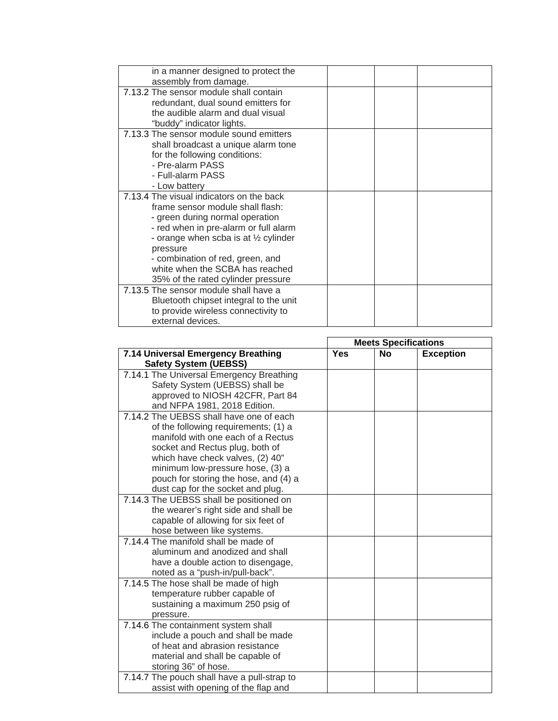| in a manner designed to protect the             |  |
|-------------------------------------------------|--|
| assembly from damage.                           |  |
| 7.13.2 The sensor module shall contain          |  |
| redundant, dual sound emitters for              |  |
| the audible alarm and dual visual               |  |
| "buddy" indicator lights.                       |  |
| 7.13.3 The sensor module sound emitters         |  |
| shall broadcast a unique alarm tone             |  |
| for the following conditions:                   |  |
| - Pre-alarm PASS                                |  |
| - Full-alarm PASS                               |  |
| - Low battery                                   |  |
| 7.13.4 The visual indicators on the back        |  |
| frame sensor module shall flash:                |  |
| - green during normal operation                 |  |
| - red when in pre-alarm or full alarm           |  |
| - orange when scba is at $\frac{1}{2}$ cylinder |  |
| pressure                                        |  |
| - combination of red, green, and                |  |
| white when the SCBA has reached                 |  |
| 35% of the rated cylinder pressure              |  |
| 7.13.5 The sensor module shall have a           |  |
| Bluetooth chipset integral to the unit          |  |
| to provide wireless connectivity to             |  |
| external devices.                               |  |

|                                             |     | <b>Meets Specifications</b> |                  |
|---------------------------------------------|-----|-----------------------------|------------------|
| 7.14 Universal Emergency Breathing          | Yes | <b>No</b>                   | <b>Exception</b> |
| <b>Safety System (UEBSS)</b>                |     |                             |                  |
| 7.14.1 The Universal Emergency Breathing    |     |                             |                  |
| Safety System (UEBSS) shall be              |     |                             |                  |
| approved to NIOSH 42CFR, Part 84            |     |                             |                  |
| and NFPA 1981, 2018 Edition.                |     |                             |                  |
| 7.14.2 The UEBSS shall have one of each     |     |                             |                  |
| of the following requirements; (1) a        |     |                             |                  |
| manifold with one each of a Rectus          |     |                             |                  |
| socket and Rectus plug, both of             |     |                             |                  |
| which have check valves, (2) 40"            |     |                             |                  |
| minimum low-pressure hose, (3) a            |     |                             |                  |
| pouch for storing the hose, and (4) a       |     |                             |                  |
| dust cap for the socket and plug.           |     |                             |                  |
| 7.14.3 The UEBSS shall be positioned on     |     |                             |                  |
| the wearer's right side and shall be        |     |                             |                  |
| capable of allowing for six feet of         |     |                             |                  |
| hose between like systems.                  |     |                             |                  |
| 7.14.4 The manifold shall be made of        |     |                             |                  |
| aluminum and anodized and shall             |     |                             |                  |
| have a double action to disengage,          |     |                             |                  |
| noted as a "push-in/pull-back".             |     |                             |                  |
| 7.14.5 The hose shall be made of high       |     |                             |                  |
| temperature rubber capable of               |     |                             |                  |
| sustaining a maximum 250 psig of            |     |                             |                  |
| pressure.                                   |     |                             |                  |
| 7.14.6 The containment system shall         |     |                             |                  |
| include a pouch and shall be made           |     |                             |                  |
| of heat and abrasion resistance             |     |                             |                  |
| material and shall be capable of            |     |                             |                  |
| storing 36" of hose.                        |     |                             |                  |
| 7.14.7 The pouch shall have a pull-strap to |     |                             |                  |
| assist with opening of the flap and         |     |                             |                  |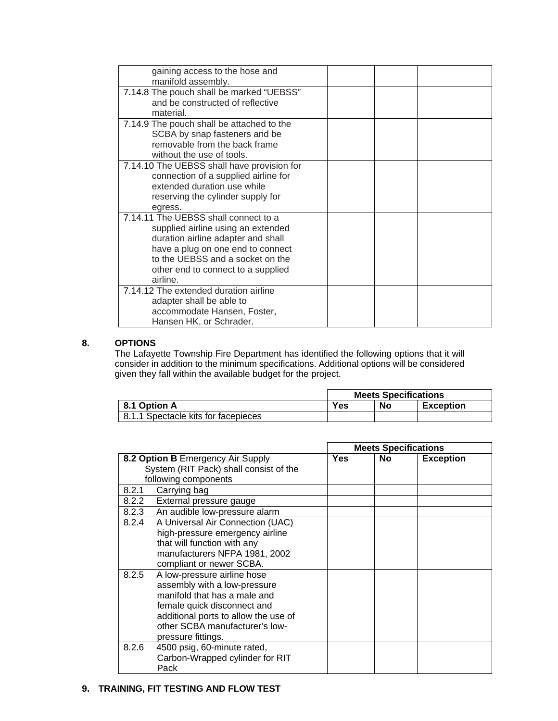| gaining access to the hose and<br>manifold assembly.                                                                                                                                                                                        |  |
|---------------------------------------------------------------------------------------------------------------------------------------------------------------------------------------------------------------------------------------------|--|
| 7.14.8 The pouch shall be marked "UEBSS"<br>and be constructed of reflective<br>material.                                                                                                                                                   |  |
| 7.14.9 The pouch shall be attached to the<br>SCBA by snap fasteners and be<br>removable from the back frame<br>without the use of tools.                                                                                                    |  |
| 7.14.10 The UEBSS shall have provision for<br>connection of a supplied airline for<br>extended duration use while<br>reserving the cylinder supply for<br>egress.                                                                           |  |
| 7.14.11 The UEBSS shall connect to a<br>supplied airline using an extended<br>duration airline adapter and shall<br>have a plug on one end to connect<br>to the UEBSS and a socket on the<br>other end to connect to a supplied<br>airline. |  |
| 7.14.12 The extended duration airline<br>adapter shall be able to<br>accommodate Hansen, Foster,<br>Hansen HK, or Schrader.                                                                                                                 |  |

### **8. OPTIONS**

The Lafayette Township Fire Department has identified the following options that it will consider in addition to the minimum specifications. Additional options will be considered given they fall within the available budget for the project.

|                                     | <b>Meets Specifications</b> |    |                  |
|-------------------------------------|-----------------------------|----|------------------|
| 8.1 Option A                        | Yes                         | No | <b>Exception</b> |
| 8.1.1 Spectacle kits for facepieces |                             |    |                  |

|       |                                        |     | <b>Meets Specifications</b> |                  |
|-------|----------------------------------------|-----|-----------------------------|------------------|
|       | 8.2 Option B Emergency Air Supply      | Yes | No.                         | <b>Exception</b> |
|       | System (RIT Pack) shall consist of the |     |                             |                  |
|       | following components                   |     |                             |                  |
| 8.2.1 | Carrying bag                           |     |                             |                  |
| 8.2.2 | External pressure gauge                |     |                             |                  |
| 8.2.3 | An audible low-pressure alarm          |     |                             |                  |
| 8.2.4 | A Universal Air Connection (UAC)       |     |                             |                  |
|       | high-pressure emergency airline        |     |                             |                  |
|       | that will function with any            |     |                             |                  |
|       | manufacturers NFPA 1981, 2002          |     |                             |                  |
|       | compliant or newer SCBA.               |     |                             |                  |
| 8.2.5 | A low-pressure airline hose            |     |                             |                  |
|       | assembly with a low-pressure           |     |                             |                  |
|       | manifold that has a male and           |     |                             |                  |
|       | female quick disconnect and            |     |                             |                  |
|       | additional ports to allow the use of   |     |                             |                  |
|       | other SCBA manufacturer's low-         |     |                             |                  |
|       | pressure fittings.                     |     |                             |                  |
| 8.2.6 | 4500 psig, 60-minute rated,            |     |                             |                  |
|       | Carbon-Wrapped cylinder for RIT        |     |                             |                  |
|       | Pack                                   |     |                             |                  |

## **9. TRAINING, FIT TESTING AND FLOW TEST**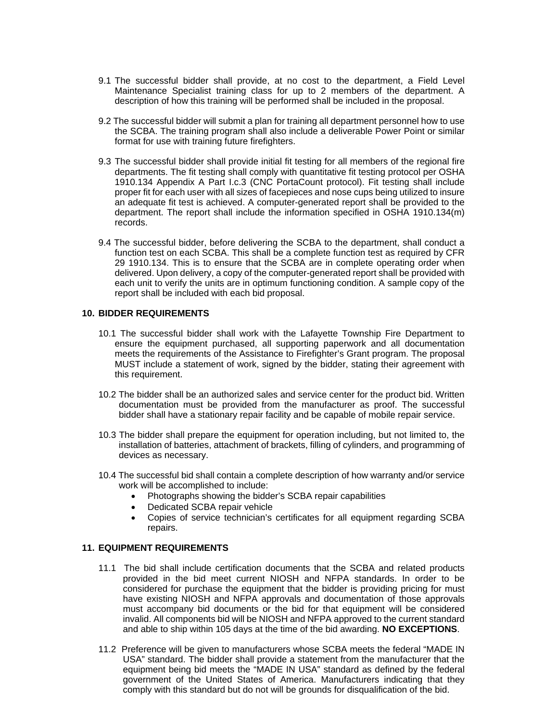- 9.1 The successful bidder shall provide, at no cost to the department, a Field Level Maintenance Specialist training class for up to 2 members of the department. A description of how this training will be performed shall be included in the proposal.
- 9.2 The successful bidder will submit a plan for training all department personnel how to use the SCBA. The training program shall also include a deliverable Power Point or similar format for use with training future firefighters.
- 9.3 The successful bidder shall provide initial fit testing for all members of the regional fire departments. The fit testing shall comply with quantitative fit testing protocol per OSHA 1910.134 Appendix A Part I.c.3 (CNC PortaCount protocol). Fit testing shall include proper fit for each user with all sizes of facepieces and nose cups being utilized to insure an adequate fit test is achieved. A computer-generated report shall be provided to the department. The report shall include the information specified in OSHA 1910.134(m) records.
- 9.4 The successful bidder, before delivering the SCBA to the department, shall conduct a function test on each SCBA. This shall be a complete function test as required by CFR 29 1910.134. This is to ensure that the SCBA are in complete operating order when delivered. Upon delivery, a copy of the computer-generated report shall be provided with each unit to verify the units are in optimum functioning condition. A sample copy of the report shall be included with each bid proposal.

#### **10. BIDDER REQUIREMENTS**

- 10.1 The successful bidder shall work with the Lafayette Township Fire Department to ensure the equipment purchased, all supporting paperwork and all documentation meets the requirements of the Assistance to Firefighter's Grant program. The proposal MUST include a statement of work, signed by the bidder, stating their agreement with this requirement.
- 10.2 The bidder shall be an authorized sales and service center for the product bid. Written documentation must be provided from the manufacturer as proof. The successful bidder shall have a stationary repair facility and be capable of mobile repair service.
- 10.3 The bidder shall prepare the equipment for operation including, but not limited to, the installation of batteries, attachment of brackets, filling of cylinders, and programming of devices as necessary.
- 10.4 The successful bid shall contain a complete description of how warranty and/or service work will be accomplished to include:
	- Photographs showing the bidder's SCBA repair capabilities
	- Dedicated SCBA repair vehicle
	- Copies of service technician's certificates for all equipment regarding SCBA repairs.

#### **11. EQUIPMENT REQUIREMENTS**

- 11.1 The bid shall include certification documents that the SCBA and related products provided in the bid meet current NIOSH and NFPA standards. In order to be considered for purchase the equipment that the bidder is providing pricing for must have existing NIOSH and NFPA approvals and documentation of those approvals must accompany bid documents or the bid for that equipment will be considered invalid. All components bid will be NIOSH and NFPA approved to the current standard and able to ship within 105 days at the time of the bid awarding. **NO EXCEPTIONS**.
- 11.2 Preference will be given to manufacturers whose SCBA meets the federal "MADE IN USA" standard. The bidder shall provide a statement from the manufacturer that the equipment being bid meets the "MADE IN USA" standard as defined by the federal government of the United States of America. Manufacturers indicating that they comply with this standard but do not will be grounds for disqualification of the bid.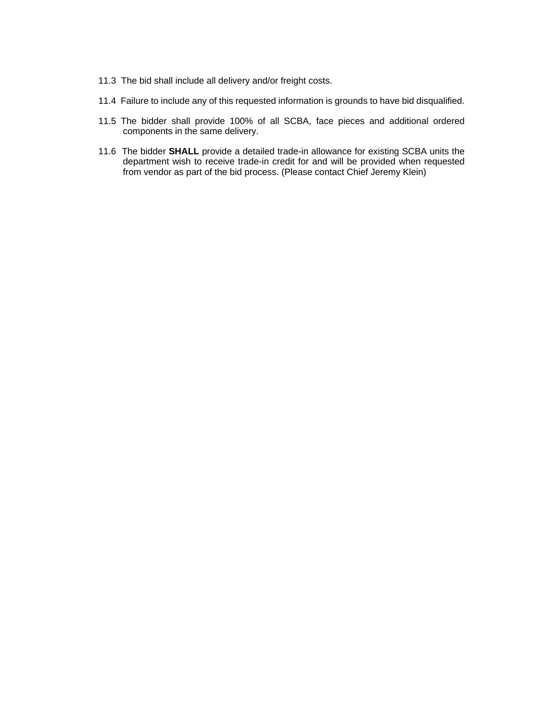- 11.3 The bid shall include all delivery and/or freight costs.
- 11.4 Failure to include any of this requested information is grounds to have bid disqualified.
- 11.5 The bidder shall provide 100% of all SCBA, face pieces and additional ordered components in the same delivery.
- 11.6 The bidder **SHALL** provide a detailed trade-in allowance for existing SCBA units the department wish to receive trade-in credit for and will be provided when requested from vendor as part of the bid process. (Please contact Chief Jeremy Klein)